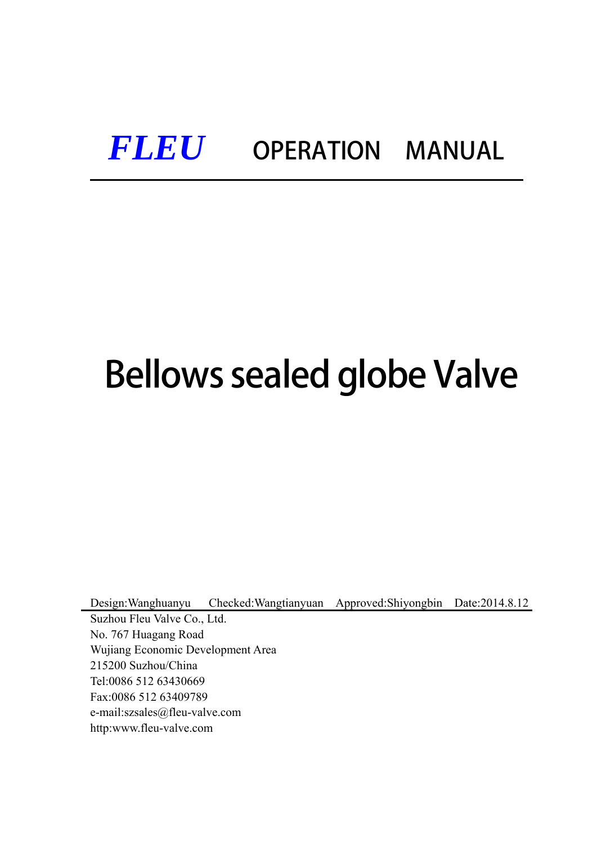# *FLEU* OPERATION MANUAL

# Bellows sealed globe Valve

Design:Wanghuanyu Checked:Wangtianyuan Approved:Shiyongbin Date:2014.8.12

Suzhou Fleu Valve Co., Ltd. No. 767 Huagang Road Wujiang Economic Development Area 215200 Suzhou/China Tel:0086 512 63430669 Fax:0086 512 63409789 e-mail:szsales@fleu-valve.com http:www.fleu-valve.com

Ξ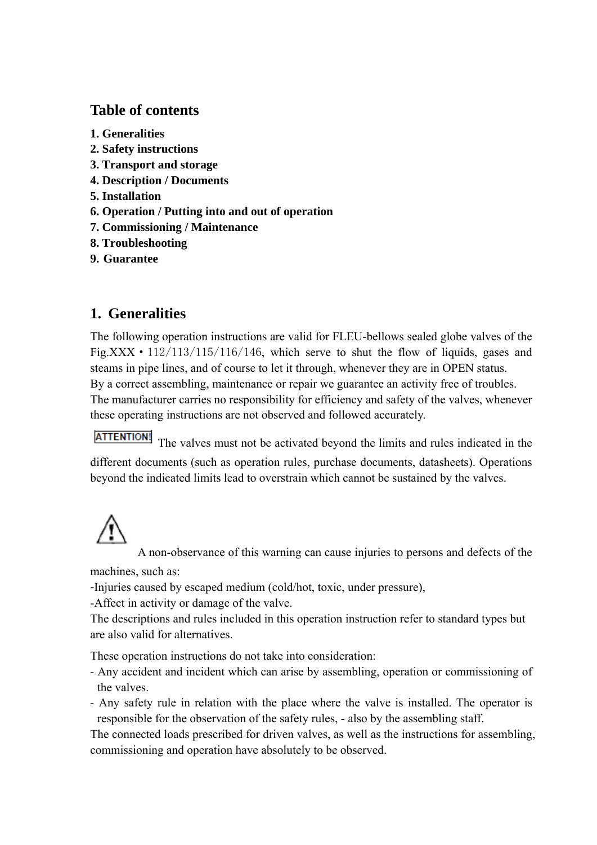# **Table of contents**

- **1. Generalities**
- **2. Safety instructions**
- **3. Transport and storage**
- **4. Description / Documents**
- **5. Installation**
- **6. Operation / Putting into and out of operation**
- **7. Commissioning / Maintenance**
- **8. Troubleshooting**
- **9. Guarantee**

# **1. Generalities**

The following operation instructions are valid for FLEU-bellows sealed globe valves of the Fig.XXX  $\cdot$  112/113/115/116/146, which serve to shut the flow of liquids, gases and steams in pipe lines, and of course to let it through, whenever they are in OPEN status. By a correct assembling, maintenance or repair we guarantee an activity free of troubles. The manufacturer carries no responsibility for efficiency and safety of the valves, whenever these operating instructions are not observed and followed accurately.

**ATTENTION!** The valves must not be activated beyond the limits and rules indicated in the different documents (such as operation rules, purchase documents, datasheets). Operations beyond the indicated limits lead to overstrain which cannot be sustained by the valves.

A non-observance of this warning can cause injuries to persons and defects of the

machines, such as:

-Injuries caused by escaped medium (cold/hot, toxic, under pressure),

-Affect in activity or damage of the valve.

The descriptions and rules included in this operation instruction refer to standard types but are also valid for alternatives.

These operation instructions do not take into consideration:

- Any accident and incident which can arise by assembling, operation or commissioning of the valves.
- Any safety rule in relation with the place where the valve is installed. The operator is responsible for the observation of the safety rules, - also by the assembling staff.

The connected loads prescribed for driven valves, as well as the instructions for assembling, commissioning and operation have absolutely to be observed.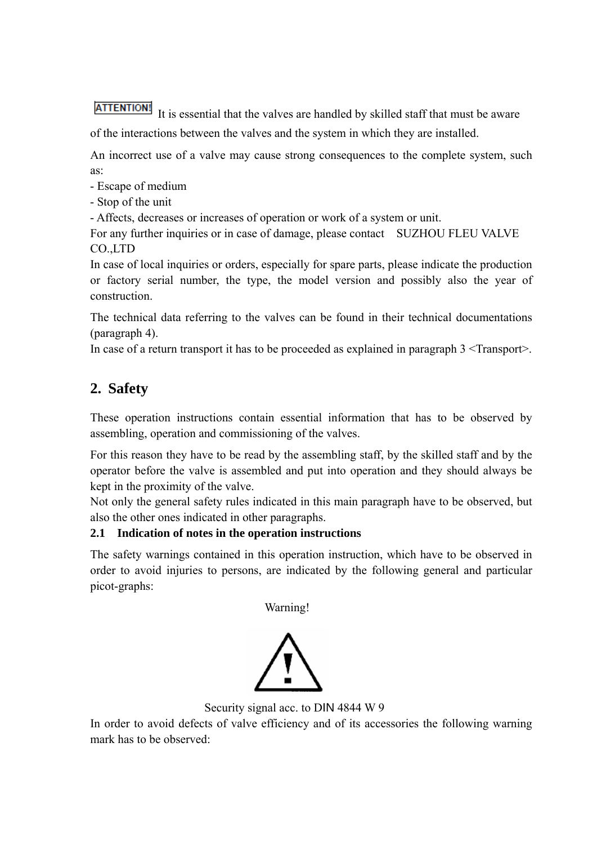**ATTENTION!** It is essential that the valves are handled by skilled staff that must be aware of the interactions between the valves and the system in which they are installed.

An incorrect use of a valve may cause strong consequences to the complete system, such as:

- Escape of medium
- Stop of the unit

- Affects, decreases or increases of operation or work of a system or unit.

For any further inquiries or in case of damage, please contact SUZHOU FLEU VALVE CO.,LTD

In case of local inquiries or orders, especially for spare parts, please indicate the production or factory serial number, the type, the model version and possibly also the year of construction.

The technical data referring to the valves can be found in their technical documentations (paragraph 4).

In case of a return transport it has to be proceeded as explained in paragraph 3 <Transport>.

# **2. Safety**

These operation instructions contain essential information that has to be observed by assembling, operation and commissioning of the valves.

For this reason they have to be read by the assembling staff, by the skilled staff and by the operator before the valve is assembled and put into operation and they should always be kept in the proximity of the valve.

Not only the general safety rules indicated in this main paragraph have to be observed, but also the other ones indicated in other paragraphs.

# **2.1 Indication of notes in the operation instructions**

The safety warnings contained in this operation instruction, which have to be observed in order to avoid injuries to persons, are indicated by the following general and particular picot-graphs:

Warning!



Security signal acc. to DIN 4844 W 9

In order to avoid defects of valve efficiency and of its accessories the following warning mark has to be observed: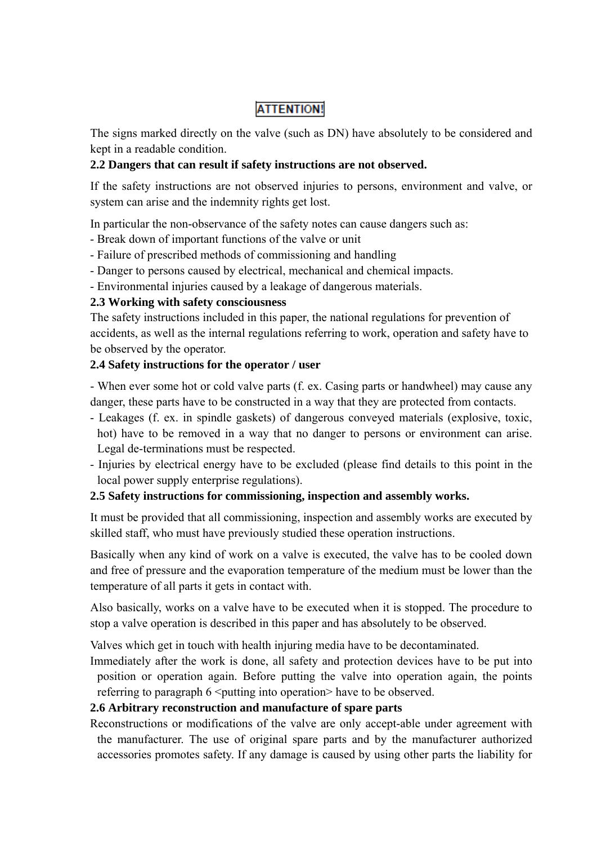# **ATTENTION!**

The signs marked directly on the valve (such as DN) have absolutely to be considered and kept in a readable condition.

#### **2.2 Dangers that can result if safety instructions are not observed.**

If the safety instructions are not observed injuries to persons, environment and valve, or system can arise and the indemnity rights get lost.

In particular the non-observance of the safety notes can cause dangers such as:

- Break down of important functions of the valve or unit
- Failure of prescribed methods of commissioning and handling
- Danger to persons caused by electrical, mechanical and chemical impacts.
- Environmental injuries caused by a leakage of dangerous materials.

### **2.3 Working with safety consciousness**

The safety instructions included in this paper, the national regulations for prevention of accidents, as well as the internal regulations referring to work, operation and safety have to be observed by the operator.

### **2.4 Safety instructions for the operator / user**

- When ever some hot or cold valve parts (f. ex. Casing parts or handwheel) may cause any danger, these parts have to be constructed in a way that they are protected from contacts.

- Leakages (f. ex. in spindle gaskets) of dangerous conveyed materials (explosive, toxic, hot) have to be removed in a way that no danger to persons or environment can arise. Legal de-terminations must be respected.
- Injuries by electrical energy have to be excluded (please find details to this point in the local power supply enterprise regulations).

#### **2.5 Safety instructions for commissioning, inspection and assembly works.**

It must be provided that all commissioning, inspection and assembly works are executed by skilled staff, who must have previously studied these operation instructions.

Basically when any kind of work on a valve is executed, the valve has to be cooled down and free of pressure and the evaporation temperature of the medium must be lower than the temperature of all parts it gets in contact with.

Also basically, works on a valve have to be executed when it is stopped. The procedure to stop a valve operation is described in this paper and has absolutely to be observed.

Valves which get in touch with health injuring media have to be decontaminated.

Immediately after the work is done, all safety and protection devices have to be put into position or operation again. Before putting the valve into operation again, the points referring to paragraph  $6 \leq$  putting into operation have to be observed.

#### **2.6 Arbitrary reconstruction and manufacture of spare parts**

Reconstructions or modifications of the valve are only accept-able under agreement with the manufacturer. The use of original spare parts and by the manufacturer authorized accessories promotes safety. If any damage is caused by using other parts the liability for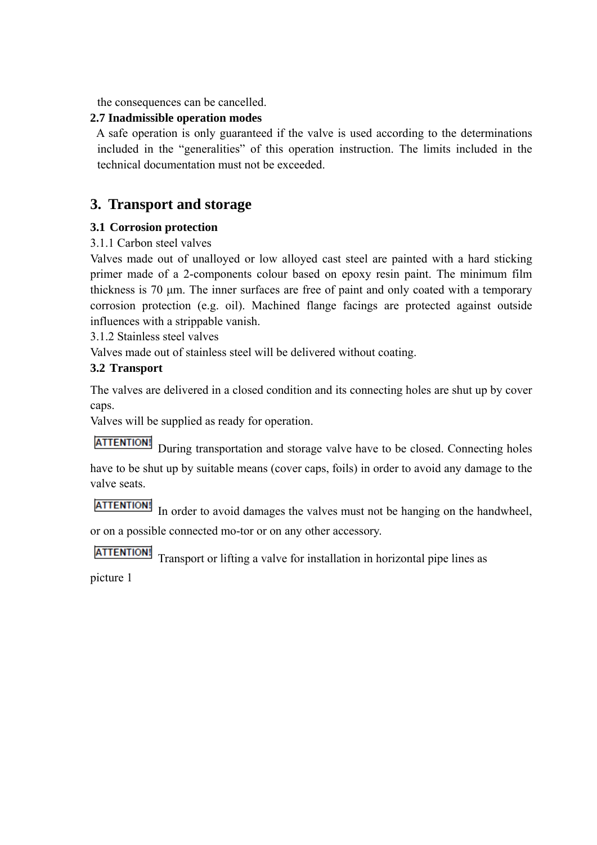the consequences can be cancelled.

# **2.7 Inadmissible operation modes**

A safe operation is only guaranteed if the valve is used according to the determinations included in the "generalities" of this operation instruction. The limits included in the technical documentation must not be exceeded.

# **3. Transport and storage**

# **3.1 Corrosion protection**

# 3.1.1 Carbon steel valves

Valves made out of unalloyed or low alloyed cast steel are painted with a hard sticking primer made of a 2-components colour based on epoxy resin paint. The minimum film thickness is 70 μm. The inner surfaces are free of paint and only coated with a temporary corrosion protection (e.g. oil). Machined flange facings are protected against outside influences with a strippable vanish.

3.1.2 Stainless steel valves

Valves made out of stainless steel will be delivered without coating.

# **3.2 Transport**

The valves are delivered in a closed condition and its connecting holes are shut up by cover caps.

Valves will be supplied as ready for operation.

**ATTENTION!** During transportation and storage valve have to be closed. Connecting holes have to be shut up by suitable means (cover caps, foils) in order to avoid any damage to the valve seats.

**ATTENTION!** In order to avoid damages the valves must not be hanging on the handwheel, or on a possible connected mo-tor or on any other accessory.

**ATTENTION!** Transport or lifting a valve for installation in horizontal pipe lines as

picture 1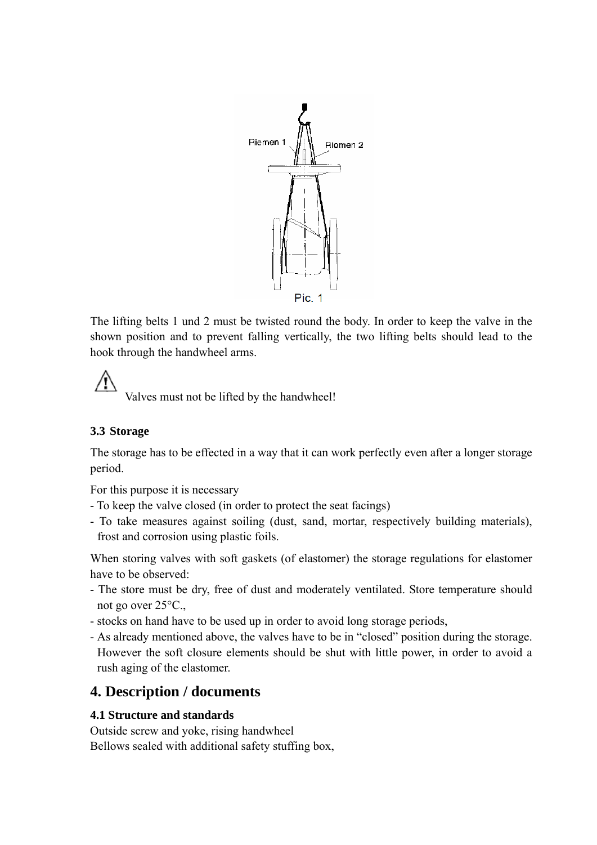

The lifting belts 1 und 2 must be twisted round the body. In order to keep the valve in the shown position and to prevent falling vertically, the two lifting belts should lead to the hook through the handwheel arms.

Valves must not be lifted by the handwheel!

# **3.3 Storage**

The storage has to be effected in a way that it can work perfectly even after a longer storage period.

For this purpose it is necessary

- To keep the valve closed (in order to protect the seat facings)
- To take measures against soiling (dust, sand, mortar, respectively building materials), frost and corrosion using plastic foils.

When storing valves with soft gaskets (of elastomer) the storage regulations for elastomer have to be observed:

- The store must be dry, free of dust and moderately ventilated. Store temperature should not go over 25°C.,
- stocks on hand have to be used up in order to avoid long storage periods,
- As already mentioned above, the valves have to be in "closed" position during the storage. However the soft closure elements should be shut with little power, in order to avoid a rush aging of the elastomer.

# **4. Description / documents**

#### **4.1 Structure and standards**

Outside screw and yoke, rising handwheel Bellows sealed with additional safety stuffing box,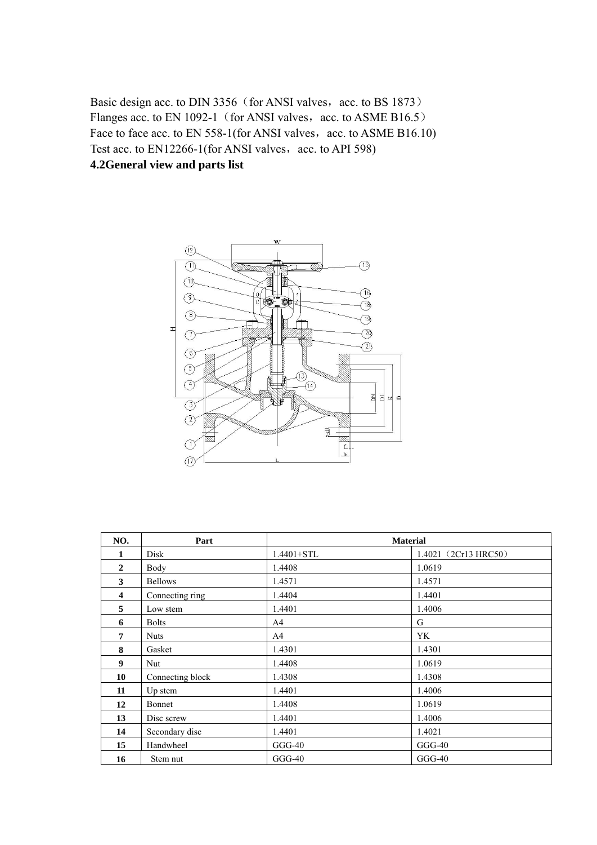Basic design acc. to DIN 3356 (for ANSI valves, acc. to BS 1873) Flanges acc. to EN 1092-1 (for ANSI valves, acc. to ASME B16.5) Face to face acc. to EN  $558-1$ (for ANSI valves, acc. to ASME B16.10) Test acc. to  $EN12266-1$  (for ANSI valves, acc. to API 598) **4.2General view and parts list** 



| NO.          | Part             | <b>Material</b> |                      |
|--------------|------------------|-----------------|----------------------|
| 1            | Disk             | $1.4401 + STL$  | 1.4021 (2Cr13 HRC50) |
| $\mathbf{2}$ | Body             | 1.4408          | 1.0619               |
| 3            | <b>Bellows</b>   | 1.4571          | 1.4571               |
| 4            | Connecting ring  | 1.4404          | 1.4401               |
| 5            | Low stem         | 1.4401          | 1.4006               |
| 6            | <b>Bolts</b>     | A4              | G                    |
| 7            | <b>Nuts</b>      | A4              | YK                   |
| 8            | Gasket           | 1.4301          | 1.4301               |
| 9            | Nut              | 1.4408          | 1.0619               |
| 10           | Connecting block | 1.4308          | 1.4308               |
| 11           | Up stem          | 1.4401          | 1.4006               |
| 12           | Bonnet           | 1.4408          | 1.0619               |
| 13           | Disc screw       | 1.4401          | 1.4006               |
| 14           | Secondary disc   | 1.4401          | 1.4021               |
| 15           | Handwheel        | $GGG-40$        | $GGG-40$             |
| 16           | Stem nut         | $GGG-40$        | $GGG-40$             |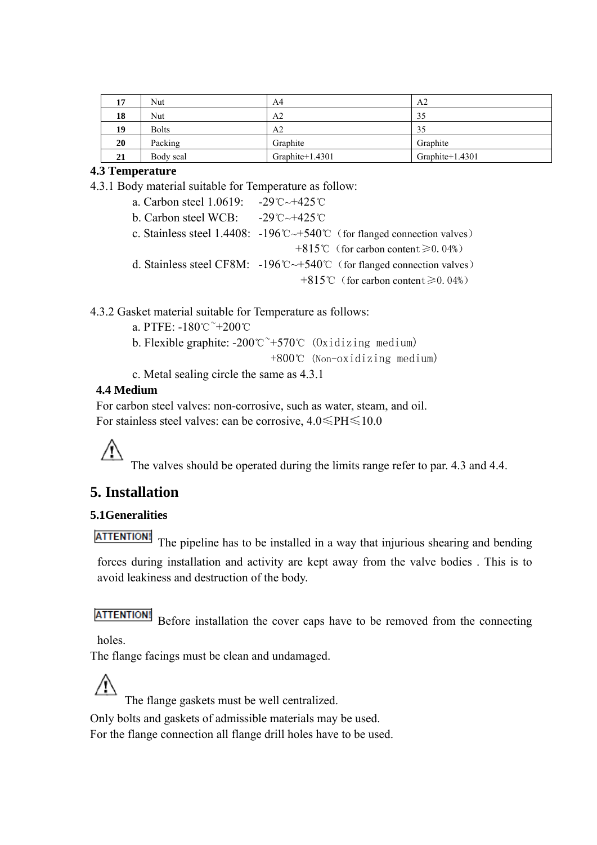| 17 | Nut          | A4                 | A <sub>2</sub>  |
|----|--------------|--------------------|-----------------|
| 18 | Nut          | A2                 | 35              |
| 19 | <b>Bolts</b> | A2                 | 35              |
| 20 | Packing      | Graphite           | Graphite        |
| 21 | Body seal    | Graphite $+1.4301$ | Graphite+1.4301 |

#### **4.3 Temperature**

4.3.1 Body material suitable for Temperature as follow:

 a. Carbon steel 1.0619: -29℃~+425℃ b. Carbon steel WCB: -29℃~+425℃ c. Stainless steel 1.4408: -196℃~+540℃(for flanged connection valves) +815℃(for carbon content≥0.04%) d. Stainless steel CF8M: -196℃~+540℃(for flanged connection valves) +815℃(for carbon content≥0.04%)

4.3.2 Gasket material suitable for Temperature as follows:

a. PTFE: -180℃~+200℃

b. Flexible graphite:  $-200^{\circ}$  $\textdegree$  +570 $\textdegree$  (0xidizing medium)

+800℃ (Non-oxidizing medium)

c. Metal sealing circle the same as 4.3.1

#### **4.4 Medium**

 For carbon steel valves: non-corrosive, such as water, steam, and oil. For stainless steel valves: can be corrosive, 4.0≤PH≤10.0

The valves should be operated during the limits range refer to par. 4.3 and 4.4.

# **5. Installation**

# **5.1Generalities**

**ATTENTION!** 

The pipeline has to be installed in a way that injurious shearing and bending forces during installation and activity are kept away from the valve bodies . This is to avoid leakiness and destruction of the body.

# **ATTENTION!**

Before installation the cover caps have to be removed from the connecting holes.

The flange facings must be clean and undamaged.

The flange gaskets must be well centralized.

Only bolts and gaskets of admissible materials may be used.

For the flange connection all flange drill holes have to be used.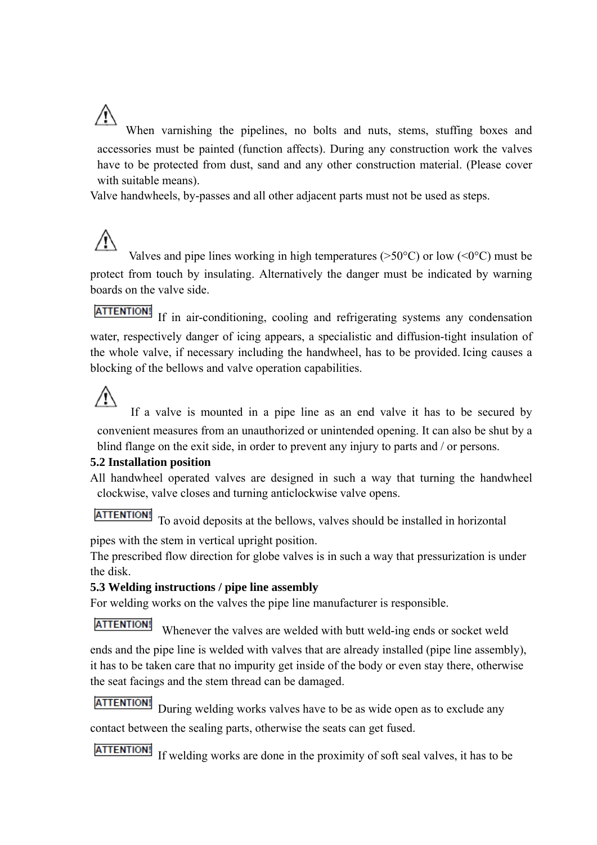Æ When varnishing the pipelines, no bolts and nuts, stems, stuffing boxes and accessories must be painted (function affects). During any construction work the valves have to be protected from dust, sand and any other construction material. (Please cover with suitable means).

Valve handwheels, by-passes and all other adjacent parts must not be used as steps.

Valves and pipe lines working in high temperatures ( $>50^{\circ}$ C) or low ( $\leq 0^{\circ}$ C) must be protect from touch by insulating. Alternatively the danger must be indicated by warning boards on the valve side.

ATTENTION! If in air-conditioning, cooling and refrigerating systems any condensation water, respectively danger of icing appears, a specialistic and diffusion-tight insulation of the whole valve, if necessary including the handwheel, has to be provided. Icing causes a blocking of the bellows and valve operation capabilities.

# $\sqrt{N}$

 If a valve is mounted in a pipe line as an end valve it has to be secured by convenient measures from an unauthorized or unintended opening. It can also be shut by a blind flange on the exit side, in order to prevent any injury to parts and / or persons.

# **5.2 Installation position**

All handwheel operated valves are designed in such a way that turning the handwheel clockwise, valve closes and turning anticlockwise valve opens.

**ATTENTION!** To avoid deposits at the bellows, valves should be installed in horizontal

pipes with the stem in vertical upright position.

The prescribed flow direction for globe valves is in such a way that pressurization is under the disk.

# **5.3 Welding instructions / pipe line assembly**

For welding works on the valves the pipe line manufacturer is responsible.

**ATTENTION!** 

Whenever the valves are welded with butt weld-ing ends or socket weld

ends and the pipe line is welded with valves that are already installed (pipe line assembly), it has to be taken care that no impurity get inside of the body or even stay there, otherwise the seat facings and the stem thread can be damaged.

**ATTENTION!** During welding works valves have to be as wide open as to exclude any contact between the sealing parts, otherwise the seats can get fused.

**ATTENTION!** If welding works are done in the proximity of soft seal valves, it has to be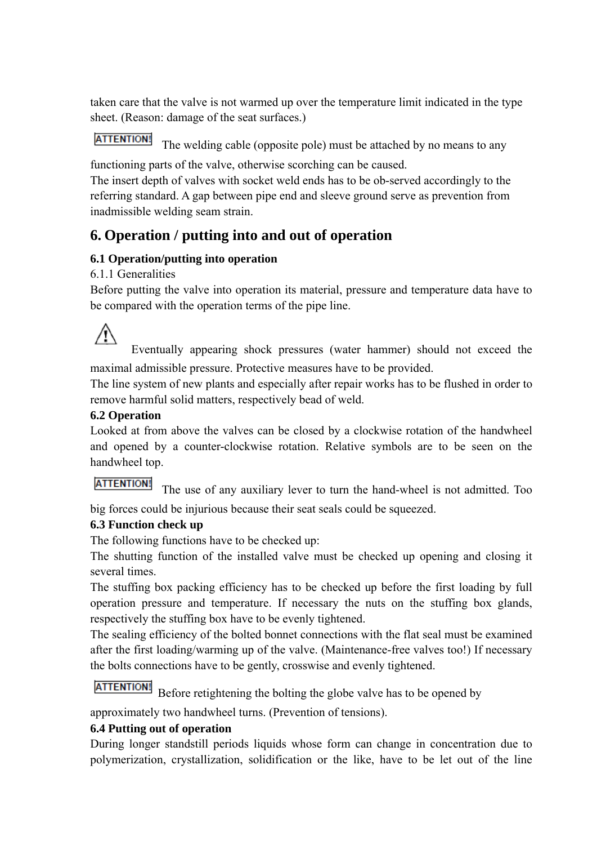taken care that the valve is not warmed up over the temperature limit indicated in the type sheet. (Reason: damage of the seat surfaces.)

#### **ATTENTION!** The welding cable (opposite pole) must be attached by no means to any

functioning parts of the valve, otherwise scorching can be caused.

The insert depth of valves with socket weld ends has to be ob-served accordingly to the referring standard. A gap between pipe end and sleeve ground serve as prevention from inadmissible welding seam strain.

# **6. Operation / putting into and out of operation**

# **6.1 Operation/putting into operation**

# 6.1.1 Generalities

Before putting the valve into operation its material, pressure and temperature data have to be compared with the operation terms of the pipe line.

ΛN

 Eventually appearing shock pressures (water hammer) should not exceed the maximal admissible pressure. Protective measures have to be provided.

The line system of new plants and especially after repair works has to be flushed in order to remove harmful solid matters, respectively bead of weld.

# **6.2 Operation**

Looked at from above the valves can be closed by a clockwise rotation of the handwheel and opened by a counter-clockwise rotation. Relative symbols are to be seen on the handwheel top.

# **ATTENTION!**

The use of any auxiliary lever to turn the hand-wheel is not admitted. Too

big forces could be injurious because their seat seals could be squeezed.

# **6.3 Function check up**

The following functions have to be checked up:

The shutting function of the installed valve must be checked up opening and closing it several times.

The stuffing box packing efficiency has to be checked up before the first loading by full operation pressure and temperature. If necessary the nuts on the stuffing box glands, respectively the stuffing box have to be evenly tightened.

The sealing efficiency of the bolted bonnet connections with the flat seal must be examined after the first loading/warming up of the valve. (Maintenance-free valves too!) If necessary the bolts connections have to be gently, crosswise and evenly tightened.

# **ATTENTION!**

Before retightening the bolting the globe valve has to be opened by

approximately two handwheel turns. (Prevention of tensions).

# **6.4 Putting out of operation**

During longer standstill periods liquids whose form can change in concentration due to polymerization, crystallization, solidification or the like, have to be let out of the line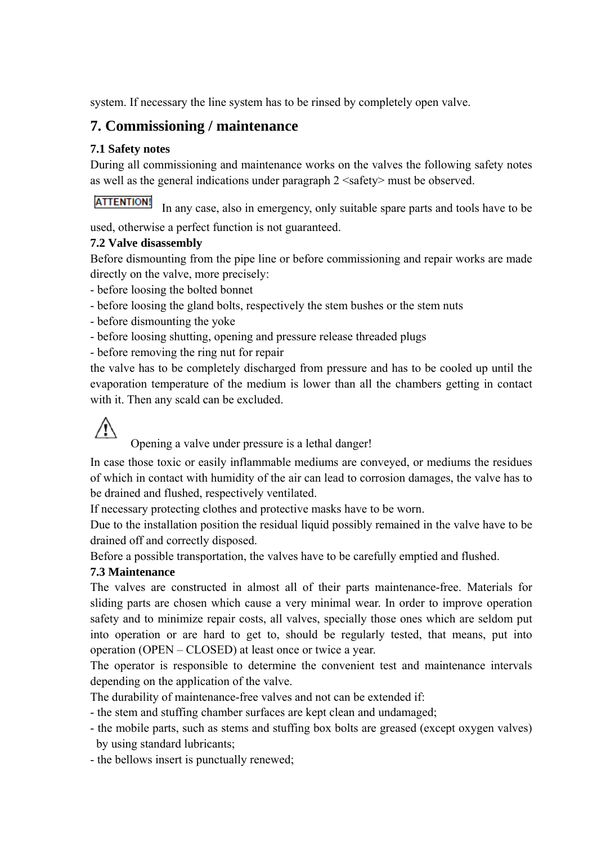system. If necessary the line system has to be rinsed by completely open valve.

# **7. Commissioning / maintenance**

#### **7.1 Safety notes**

During all commissioning and maintenance works on the valves the following safety notes as well as the general indications under paragraph 2 <safety> must be observed.

### **ATTENTION!**

In any case, also in emergency, only suitable spare parts and tools have to be used, otherwise a perfect function is not guaranteed.

#### **7.2 Valve disassembly**

Before dismounting from the pipe line or before commissioning and repair works are made directly on the valve, more precisely:

- before loosing the bolted bonnet

- before loosing the gland bolts, respectively the stem bushes or the stem nuts

- before dismounting the yoke
- before loosing shutting, opening and pressure release threaded plugs
- before removing the ring nut for repair

the valve has to be completely discharged from pressure and has to be cooled up until the evaporation temperature of the medium is lower than all the chambers getting in contact with it. Then any scald can be excluded.



Opening a valve under pressure is a lethal danger!

In case those toxic or easily inflammable mediums are conveyed, or mediums the residues of which in contact with humidity of the air can lead to corrosion damages, the valve has to be drained and flushed, respectively ventilated.

If necessary protecting clothes and protective masks have to be worn.

Due to the installation position the residual liquid possibly remained in the valve have to be drained off and correctly disposed.

Before a possible transportation, the valves have to be carefully emptied and flushed.

# **7.3 Maintenance**

The valves are constructed in almost all of their parts maintenance-free. Materials for sliding parts are chosen which cause a very minimal wear. In order to improve operation safety and to minimize repair costs, all valves, specially those ones which are seldom put into operation or are hard to get to, should be regularly tested, that means, put into operation (OPEN – CLOSED) at least once or twice a year.

The operator is responsible to determine the convenient test and maintenance intervals depending on the application of the valve.

The durability of maintenance-free valves and not can be extended if:

- the stem and stuffing chamber surfaces are kept clean and undamaged;

- the mobile parts, such as stems and stuffing box bolts are greased (except oxygen valves) by using standard lubricants;
- the bellows insert is punctually renewed;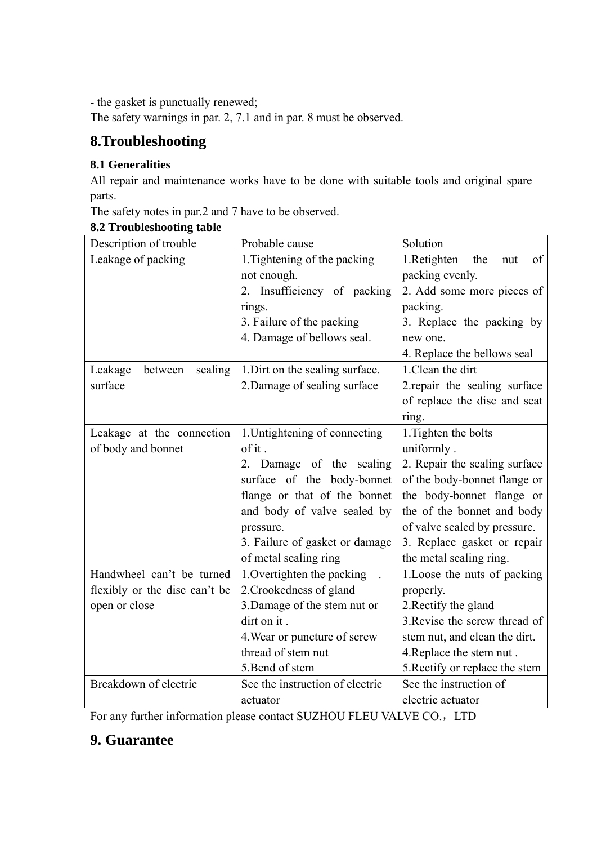- the gasket is punctually renewed;

The safety warnings in par. 2, 7.1 and in par. 8 must be observed.

# **8.Troubleshooting**

# **8.1 Generalities**

All repair and maintenance works have to be done with suitable tools and original spare parts.

The safety notes in par.2 and 7 have to be observed.

# **8.2 Troubleshooting table**

| Description of trouble        | Probable cause                             | Solution                        |
|-------------------------------|--------------------------------------------|---------------------------------|
| Leakage of packing            | 1. Tightening of the packing               | 1.Retighten<br>the<br>of<br>nut |
|                               | not enough.                                | packing evenly.                 |
|                               | Insufficiency of packing<br>2 <sup>1</sup> | 2. Add some more pieces of      |
|                               | rings.                                     | packing.                        |
|                               | 3. Failure of the packing                  | 3. Replace the packing by       |
|                               | 4. Damage of bellows seal.                 | new one.                        |
|                               |                                            | 4. Replace the bellows seal     |
| Leakage<br>sealing<br>between | 1. Dirt on the sealing surface.            | 1. Clean the dirt               |
| surface                       | 2. Damage of sealing surface               | 2. repair the sealing surface   |
|                               |                                            | of replace the disc and seat    |
|                               |                                            | ring.                           |
| Leakage at the connection     | 1. Untightening of connecting              | 1. Tighten the bolts            |
| of body and bonnet            | of it.                                     | uniformly.                      |
|                               | 2. Damage of the sealing                   | 2. Repair the sealing surface   |
|                               | surface of the body-bonnet                 | of the body-bonnet flange or    |
|                               | flange or that of the bonnet               | the body-bonnet flange or       |
|                               | and body of valve sealed by                | the of the bonnet and body      |
|                               | pressure.                                  | of valve sealed by pressure.    |
|                               | 3. Failure of gasket or damage             | 3. Replace gasket or repair     |
|                               | of metal sealing ring                      | the metal sealing ring.         |
| Handwheel can't be turned     | 1. Overtighten the packing                 | 1. Loose the nuts of packing    |
| flexibly or the disc can't be | 2. Crookedness of gland                    | properly.                       |
| open or close                 | 3. Damage of the stem nut or               | 2. Rectify the gland            |
|                               | dirt on it.                                | 3. Revise the screw thread of   |
|                               | 4. Wear or puncture of screw               | stem nut, and clean the dirt.   |
|                               | thread of stem nut                         | 4. Replace the stem nut.        |
|                               | 5. Bend of stem                            | 5. Rectify or replace the stem  |
| Breakdown of electric         | See the instruction of electric            | See the instruction of          |
|                               | actuator                                   | electric actuator               |

For any further information please contact SUZHOU FLEU VALVE CO., LTD

# **9. Guarantee**